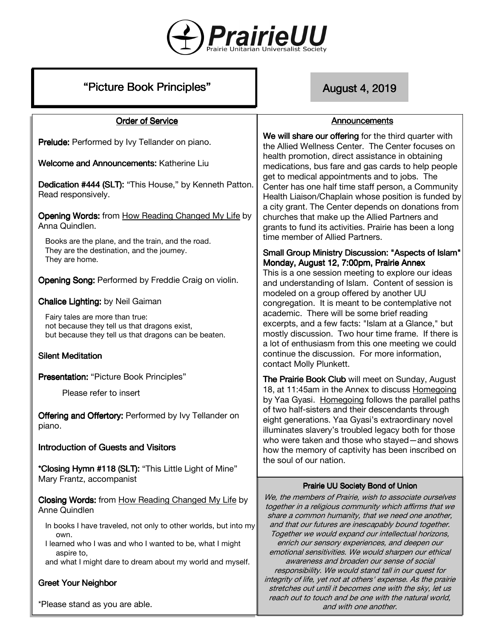

# "Picture Book Principles" New York 2019

Announcements

### **Order of Service**

Prelude: Performed by Ivy Tellander on piano.

Welcome and Announcements: Katherine Liu

Dedication #444 (SLT): "This House," by Kenneth Patton. Read responsively.

**Opening Words:** from How Reading Changed My Life by Anna Quindlen.

Books are the plane, and the train, and the road. They are the destination, and the journey. They are home.

Opening Song: Performed by Freddie Craig on violin.

**Chalice Lighting:** by Neil Gaiman

Fairy tales are more than true: not because they tell us that dragons exist, but because they tell us that dragons can be beaten.

### **Silent Meditation**

Presentation: "Picture Book Principles"

Please refer to insert

Offering and Offertory: Performed by Ivy Tellander on piano.

# Introduction of Guests and Visitors

\*Closing Hymn #118 (SLT): "This Little Light of Mine" Mary Frantz, accompanist

Closing Words: from How Reading Changed My Life by Anne Quindlen

- In books I have traveled, not only to other worlds, but into my own.
- I learned who I was and who I wanted to be, what I might aspire to,

and what I might dare to dream about my world and myself.

# **Greet Your Neighbor**

\*Please stand as you are able.

We will share our offering for the third quarter with the Allied Wellness Center. The Center focuses on health promotion, direct assistance in obtaining medications, bus fare and gas cards to help people get to medical appointments and to jobs. The Center has one half time staff person, a Community Health Liaison/Chaplain whose position is funded by a city grant. The Center depends on donations from churches that make up the Allied Partners and grants to fund its activities. Prairie has been a long time member of Allied Partners.

### Small Group Ministry Discussion: "Aspects of Islam" Monday, August 12, 7:00pm, Prairie Annex

This is a one session meeting to explore our ideas and understanding of Islam. Content of session is modeled on a group offered by another UU congregation. It is meant to be contemplative not academic. There will be some brief reading excerpts, and a few facts: "Islam at a Glance," but mostly discussion. Two hour time frame. If there is a lot of enthusiasm from this one meeting we could continue the discussion. For more information, contact Molly Plunkett.

The Prairie Book Club will meet on Sunday, August 18, at 11:45am in the Annex to discuss Homegoing by Yaa Gyasi. Homegoing follows the parallel paths of two half-sisters and their descendants through eight generations. Yaa Gyasi's extraordinary novel illuminates slavery's troubled legacy both for those who were taken and those who stayed—and shows how the memory of captivity has been inscribed on the soul of our nation.

### Prairie UU Society Bond of Union

We, the members of Prairie, wish to associate ourselves together in a religious community which affirms that we share a common humanity, that we need one another, and that our futures are inescapably bound together. Together we would expand our intellectual horizons, enrich our sensory experiences, and deepen our emotional sensitivities. We would sharpen our ethical awareness and broaden our sense of social responsibility. We would stand tall in our quest for integrity of life, yet not at others' expense. As the prairie stretches out until it becomes one with the sky, let us reach out to touch and be one with the natural world, and with one another.